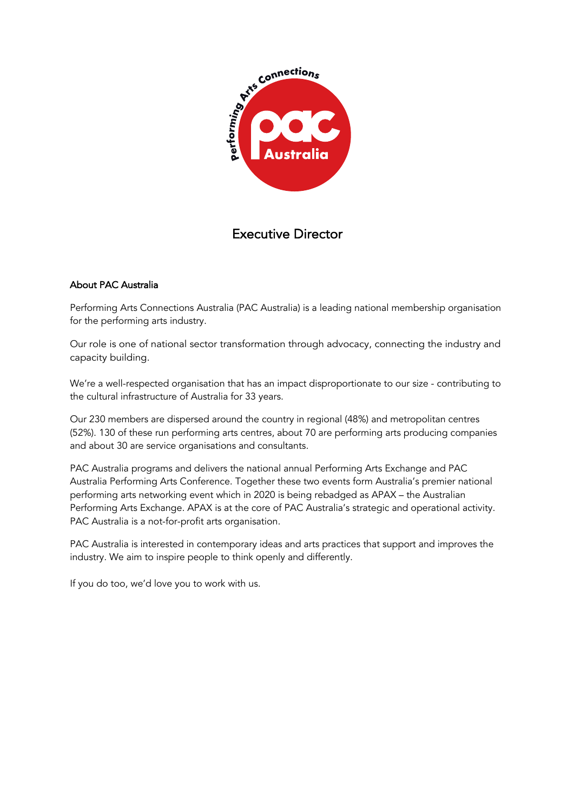

# Executive Director

## About PAC Australia

Performing Arts Connections Australia (PAC Australia) is a leading national membership organisation for the performing arts industry.

Our role is one of national sector transformation through advocacy, connecting the industry and capacity building.

We're a well-respected organisation that has an impact disproportionate to our size - contributing to the cultural infrastructure of Australia for 33 years.

Our 230 members are dispersed around the country in regional (48%) and metropolitan centres (52%). 130 of these run performing arts centres, about 70 are performing arts producing companies and about 30 are service organisations and consultants.

PAC Australia programs and delivers the national annual Performing Arts Exchange and PAC Australia Performing Arts Conference. Together these two events form Australia's premier national performing arts networking event which in 2020 is being rebadged as APAX – the Australian Performing Arts Exchange. APAX is at the core of PAC Australia's strategic and operational activity. PAC Australia is a not-for-profit arts organisation.

PAC Australia is interested in contemporary ideas and arts practices that support and improves the industry. We aim to inspire people to think openly and differently.

If you do too, we'd love you to work with us.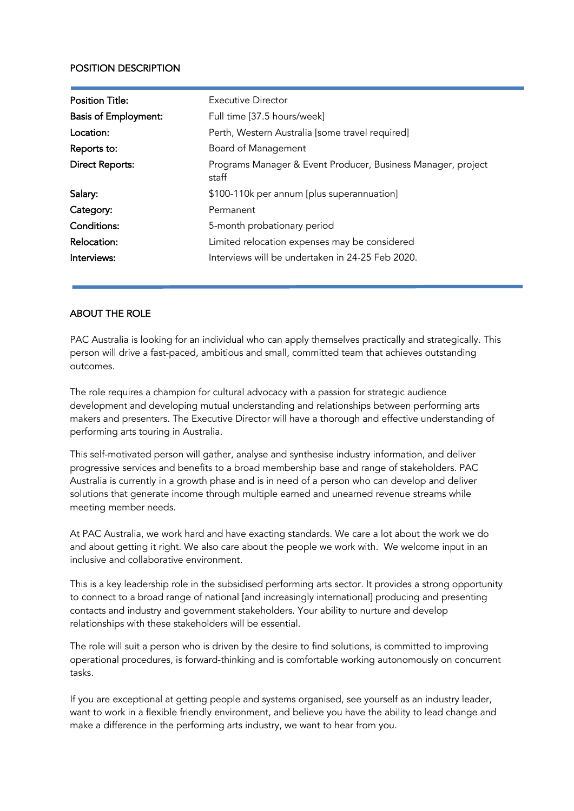#### POSITION DESCRIPTION

| <b>Position Title:</b>      | Executive Director                                                    |
|-----------------------------|-----------------------------------------------------------------------|
| <b>Basis of Employment:</b> | Full time [37.5 hours/week]                                           |
| Location:                   | Perth, Western Australia [some travel required]                       |
| Reports to:                 | Board of Management                                                   |
| <b>Direct Reports:</b>      | Programs Manager & Event Producer, Business Manager, project<br>staff |
| Salary:                     | \$100-110k per annum [plus superannuation]                            |
| Category:                   | Permanent                                                             |
| Conditions:                 | 5-month probationary period                                           |
| Relocation:                 | Limited relocation expenses may be considered                         |
| Interviews:                 | Interviews will be undertaken in 24-25 Feb 2020.                      |

#### ABOUT THE ROLE

PAC Australia is looking for an individual who can apply themselves practically and strategically. This person will drive a fast-paced, ambitious and small, committed team that achieves outstanding outcomes.

The role requires a champion for cultural advocacy with a passion for strategic audience development and developing mutual understanding and relationships between performing arts makers and presenters. The Executive Director will have a thorough and effective understanding of performing arts touring in Australia.

This self-motivated person will gather, analyse and synthesise industry information, and deliver progressive services and benefits to a broad membership base and range of stakeholders. PAC Australia is currently in a growth phase and is in need of a person who can develop and deliver solutions that generate income through multiple earned and unearned revenue streams while meeting member needs.

At PAC Australia, we work hard and have exacting standards. We care a lot about the work we do and about getting it right. We also care about the people we work with. We welcome input in an inclusive and collaborative environment.

This is a key leadership role in the subsidised performing arts sector. It provides a strong opportunity to connect to a broad range of national [and increasingly international] producing and presenting contacts and industry and government stakeholders. Your ability to nurture and develop relationships with these stakeholders will be essential.

The role will suit a person who is driven by the desire to find solutions, is committed to improving operational procedures, is forward-thinking and is comfortable working autonomously on concurrent tasks.

If you are exceptional at getting people and systems organised, see yourself as an industry leader, want to work in a flexible friendly environment, and believe you have the ability to lead change and make a difference in the performing arts industry, we want to hear from you.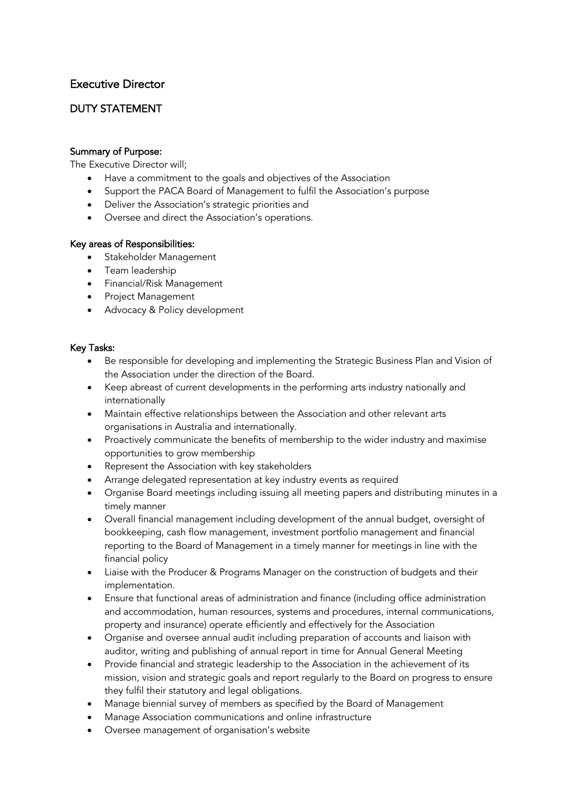# Executive Director

# DUTY STATEMENT

#### Summary of Purpose:

The Executive Director will;

- Have a commitment to the goals and objectives of the Association
- Support the PACA Board of Management to fulfil the Association's purpose
- Deliver the Association's strategic priorities and
- Oversee and direct the Association's operations.

#### Key areas of Responsibilities:

- Stakeholder Management
- Team leadership
- Financial/Risk Management
- Project Management
- Advocacy & Policy development

#### Key Tasks:

- Be responsible for developing and implementing the Strategic Business Plan and Vision of the Association under the direction of the Board.
- Keep abreast of current developments in the performing arts industry nationally and internationally
- Maintain effective relationships between the Association and other relevant arts organisations in Australia and internationally.
- Proactively communicate the benefits of membership to the wider industry and maximise opportunities to grow membership
- Represent the Association with key stakeholders
- Arrange delegated representation at key industry events as required
- Organise Board meetings including issuing all meeting papers and distributing minutes in a timely manner
- Overall financial management including development of the annual budget, oversight of bookkeeping, cash flow management, investment portfolio management and financial reporting to the Board of Management in a timely manner for meetings in line with the financial policy
- Liaise with the Producer & Programs Manager on the construction of budgets and their implementation.
- Ensure that functional areas of administration and finance (including office administration and accommodation, human resources, systems and procedures, internal communications, property and insurance) operate efficiently and effectively for the Association
- Organise and oversee annual audit including preparation of accounts and liaison with auditor, writing and publishing of annual report in time for Annual General Meeting
- Provide financial and strategic leadership to the Association in the achievement of its mission, vision and strategic goals and report regularly to the Board on progress to ensure they fulfil their statutory and legal obligations.
- Manage biennial survey of members as specified by the Board of Management
- Manage Association communications and online infrastructure
- Oversee management of organisation's website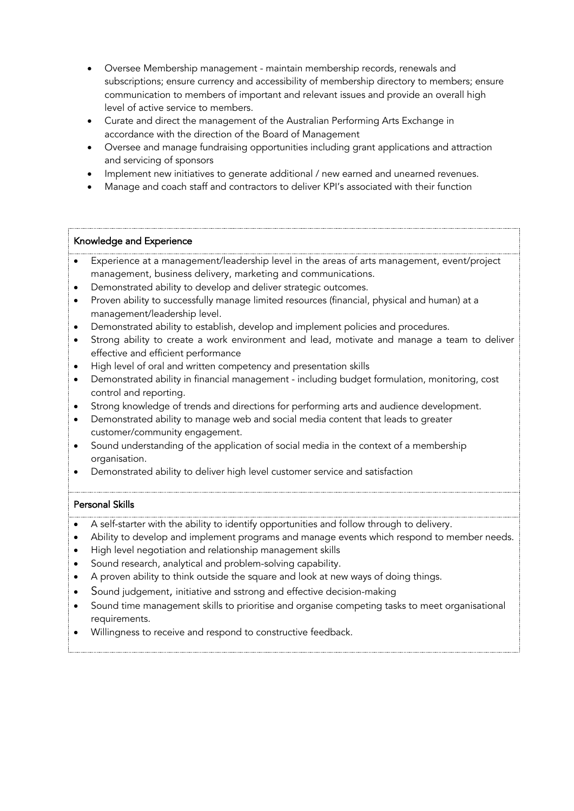- Oversee Membership management maintain membership records, renewals and subscriptions; ensure currency and accessibility of membership directory to members; ensure communication to members of important and relevant issues and provide an overall high level of active service to members.
- Curate and direct the management of the Australian Performing Arts Exchange in accordance with the direction of the Board of Management
- Oversee and manage fundraising opportunities including grant applications and attraction and servicing of sponsors
- Implement new initiatives to generate additional / new earned and unearned revenues.
- Manage and coach staff and contractors to deliver KPI's associated with their function

#### Knowledge and Experience

• Experience at a management/leadership level in the areas of arts management, event/project management, business delivery, marketing and communications.

- Demonstrated ability to develop and deliver strategic outcomes.
- Proven ability to successfully manage limited resources (financial, physical and human) at a management/leadership level.
- Demonstrated ability to establish, develop and implement policies and procedures.
- Strong ability to create a work environment and lead, motivate and manage a team to deliver effective and efficient performance
- High level of oral and written competency and presentation skills
- Demonstrated ability in financial management including budget formulation, monitoring, cost control and reporting.
- Strong knowledge of trends and directions for performing arts and audience development.
- Demonstrated ability to manage web and social media content that leads to greater customer/community engagement.
- Sound understanding of the application of social media in the context of a membership organisation.
- Demonstrated ability to deliver high level customer service and satisfaction

# Personal Skills

• A self-starter with the ability to identify opportunities and follow through to delivery.

- Ability to develop and implement programs and manage events which respond to member needs.
- High level negotiation and relationship management skills
- Sound research, analytical and problem-solving capability.
- A proven ability to think outside the square and look at new ways of doing things.
- Sound judgement, initiative and sstrong and effective decision-making
- Sound time management skills to prioritise and organise competing tasks to meet organisational requirements.
- Willingness to receive and respond to constructive feedback.